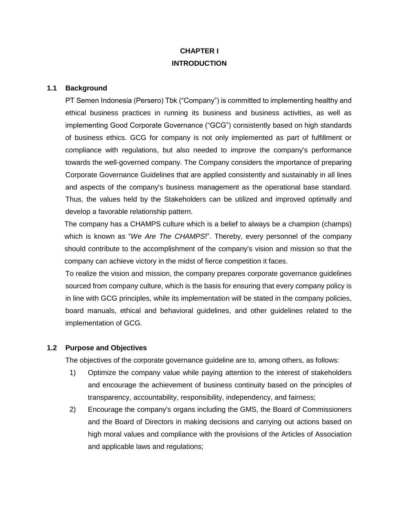# **CHAPTER I INTRODUCTION**

### **1.1 Background**

PT Semen Indonesia (Persero) Tbk ("Company") is committed to implementing healthy and ethical business practices in running its business and business activities, as well as implementing Good Corporate Governance ("GCG") consistently based on high standards of business ethics. GCG for company is not only implemented as part of fulfillment or compliance with regulations, but also needed to improve the company's performance towards the well-governed company. The Company considers the importance of preparing Corporate Governance Guidelines that are applied consistently and sustainably in all lines and aspects of the company's business management as the operational base standard. Thus, the values held by the Stakeholders can be utilized and improved optimally and develop a favorable relationship pattern.

The company has a CHAMPS culture which is a belief to always be a champion (champs) which is known as "*We Are The CHAMPS*!". Thereby, every personnel of the company should contribute to the accomplishment of the company's vision and mission so that the company can achieve victory in the midst of fierce competition it faces.

To realize the vision and mission, the company prepares corporate governance guidelines sourced from company culture, which is the basis for ensuring that every company policy is in line with GCG principles, while its implementation will be stated in the company policies, board manuals, ethical and behavioral guidelines, and other guidelines related to the implementation of GCG.

### **1.2 Purpose and Objectives**

The objectives of the corporate governance guideline are to, among others, as follows:

- 1) Optimize the company value while paying attention to the interest of stakeholders and encourage the achievement of business continuity based on the principles of transparency, accountability, responsibility, independency, and fairness;
- 2) Encourage the company's organs including the GMS, the Board of Commissioners and the Board of Directors in making decisions and carrying out actions based on high moral values and compliance with the provisions of the Articles of Association and applicable laws and regulations;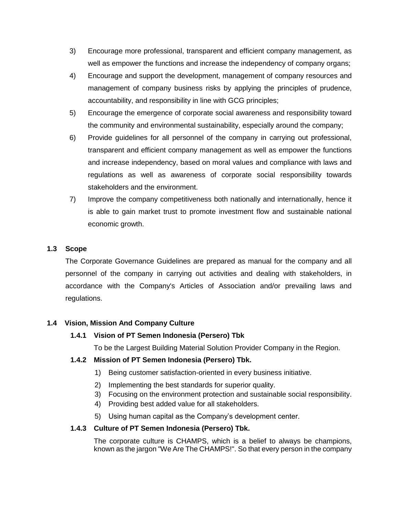- 3) Encourage more professional, transparent and efficient company management, as well as empower the functions and increase the independency of company organs;
- 4) Encourage and support the development, management of company resources and management of company business risks by applying the principles of prudence, accountability, and responsibility in line with GCG principles;
- 5) Encourage the emergence of corporate social awareness and responsibility toward the community and environmental sustainability, especially around the company;
- 6) Provide guidelines for all personnel of the company in carrying out professional, transparent and efficient company management as well as empower the functions and increase independency, based on moral values and compliance with laws and regulations as well as awareness of corporate social responsibility towards stakeholders and the environment.
- 7) Improve the company competitiveness both nationally and internationally, hence it is able to gain market trust to promote investment flow and sustainable national economic growth.

## **1.3 Scope**

The Corporate Governance Guidelines are prepared as manual for the company and all personnel of the company in carrying out activities and dealing with stakeholders, in accordance with the Company's Articles of Association and/or prevailing laws and regulations.

## **1.4 Vision, Mission And Company Culture**

## **1.4.1 Vision of PT Semen Indonesia (Persero) Tbk**

To be the Largest Building Material Solution Provider Company in the Region.

## **1.4.2 Mission of PT Semen Indonesia (Persero) Tbk.**

- 1) Being customer satisfaction-oriented in every business initiative.
- 2) Implementing the best standards for superior quality.
- 3) Focusing on the environment protection and sustainable social responsibility.
- 4) Providing best added value for all stakeholders.
- 5) Using human capital as the Company's development center.

## **1.4.3 Culture of PT Semen Indonesia (Persero) Tbk.**

The corporate culture is CHAMPS, which is a belief to always be champions, known as the jargon "We Are The CHAMPS!". So that every person in the company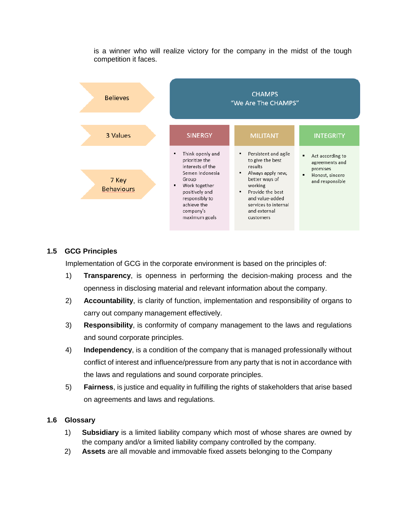

is a winner who will realize victory for the company in the midst of the tough competition it faces.

## **1.5 GCG Principles**

Implementation of GCG in the corporate environment is based on the principles of:

- 1) **Transparency**, is openness in performing the decision-making process and the openness in disclosing material and relevant information about the company.
- 2) **Accountability**, is clarity of function, implementation and responsibility of organs to carry out company management effectively.
- 3) **Responsibility**, is conformity of company management to the laws and regulations and sound corporate principles.
- 4) **Independency**, is a condition of the company that is managed professionally without conflict of interest and influence/pressure from any party that is not in accordance with the laws and regulations and sound corporate principles.
- 5) **Fairness**, is justice and equality in fulfilling the rights of stakeholders that arise based on agreements and laws and regulations.

## **1.6 Glossary**

- 1) **Subsidiary** is a limited liability company which most of whose shares are owned by the company and/or a limited liability company controlled by the company.
- 2) **Assets** are all movable and immovable fixed assets belonging to the Company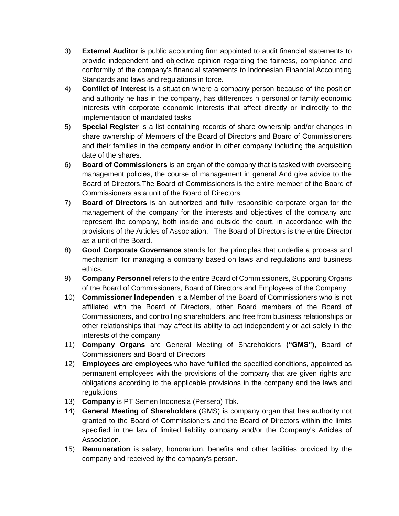- 3) **External Auditor** is public accounting firm appointed to audit financial statements to provide independent and objective opinion regarding the fairness, compliance and conformity of the company's financial statements to Indonesian Financial Accounting Standards and laws and regulations in force.
- 4) **Conflict of Interest** is a situation where a company person because of the position and authority he has in the company, has differences n personal or family economic interests with corporate economic interests that affect directly or indirectly to the implementation of mandated tasks
- 5) **Special Register** is a list containing records of share ownership and/or changes in share ownership of Members of the Board of Directors and Board of Commissioners and their families in the company and/or in other company including the acquisition date of the shares.
- 6) **Board of Commissioners** is an organ of the company that is tasked with overseeing management policies, the course of management in general And give advice to the Board of Directors.The Board of Commissioners is the entire member of the Board of Commissioners as a unit of the Board of Directors.
- 7) **Board of Directors** is an authorized and fully responsible corporate organ for the management of the company for the interests and objectives of the company and represent the company, both inside and outside the court, in accordance with the provisions of the Articles of Association. The Board of Directors is the entire Director as a unit of the Board.
- 8) **Good Corporate Governance** stands for the principles that underlie a process and mechanism for managing a company based on laws and regulations and business ethics.
- 9) **Company Personnel** refers to the entire Board of Commissioners, Supporting Organs of the Board of Commissioners, Board of Directors and Employees of the Company.
- 10) **Commissioner lndependen** is a Member of the Board of Commissioners who is not affiliated with the Board of Directors, other Board members of the Board of Commissioners, and controlling shareholders, and free from business relationships or other relationships that may affect its ability to act independently or act solely in the interests of the company
- 11) **Company Organs** are General Meeting of Shareholders **("GMS")**, Board of Commissioners and Board of Directors
- 12) **Employees are employees** who have fulfilled the specified conditions, appointed as permanent employees with the provisions of the company that are given rights and obligations according to the applicable provisions in the company and the laws and regulations
- 13) **Company** is PT Semen Indonesia (Persero) Tbk.
- 14) **General Meeting of Shareholders** (GMS) is company organ that has authority not granted to the Board of Commissioners and the Board of Directors within the limits specified in the law of limited liability company and/or the Company's Articles of Association.
- 15) **Remuneration** is salary, honorarium, benefits and other facilities provided by the company and received by the company's person.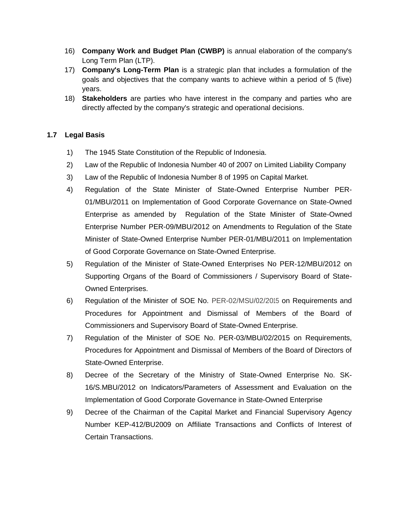- 16) **Company Work and Budget Plan (CWBP)** is annual elaboration of the company's Long Term Plan (LTP).
- 17) **Company's Long-Term Plan** is a strategic plan that includes a formulation of the goals and objectives that the company wants to achieve within a period of 5 (five) years.
- 18) **Stakeholders** are parties who have interest in the company and parties who are directly affected by the company's strategic and operational decisions.

## **1.7 Legal Basis**

- 1) The 1945 State Constitution of the Republic of Indonesia.
- 2) Law of the Republic of Indonesia Number 40 of 2007 on Limited Liability Company
- 3) Law of the Republic of Indonesia Number 8 of 1995 on Capital Market.
- 4) Regulation of the State Minister of State-Owned Enterprise Number PER-01/MBU/2011 on Implementation of Good Corporate Governance on State-Owned Enterprise as amended by Regulation of the State Minister of State-Owned Enterprise Number PER-09/MBU/2012 on Amendments to Regulation of the State Minister of State-Owned Enterprise Number PER-01/MBU/2011 on Implementation of Good Corporate Governance on State-Owned Enterprise.
- 5) Regulation of the Minister of State-Owned Enterprises No PER-12/MBU/2012 on Supporting Organs of the Board of Commissioners / Supervisory Board of State-Owned Enterprises.
- 6) Regulation of the Minister of SOE No. PER-02/MSU/02/2015 on Requirements and Procedures for Appointment and Dismissal of Members of the Board of Commissioners and Supervisory Board of State-Owned Enterprise.
- 7) Regulation of the Minister of SOE No. PER-03/MBU/02/2015 on Requirements, Procedures for Appointment and Dismissal of Members of the Board of Directors of State-Owned Enterprise.
- 8) Decree of the Secretary of the Ministry of State-Owned Enterprise No. SK-16/S.MBU/2012 on Indicators/Parameters of Assessment and Evaluation on the Implementation of Good Corporate Governance in State-Owned Enterprise
- 9) Decree of the Chairman of the Capital Market and Financial Supervisory Agency Number KEP-412/BU2009 on Affiliate Transactions and Conflicts of Interest of Certain Transactions.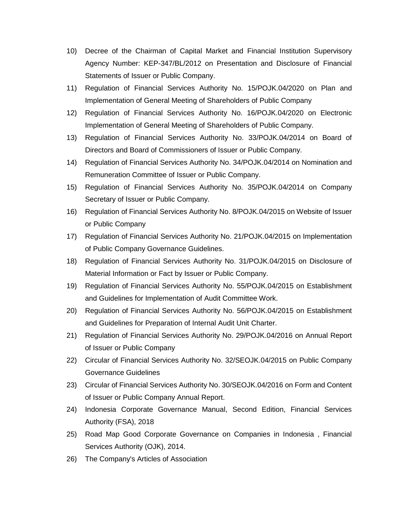- 10) Decree of the Chairman of Capital Market and Financial Institution Supervisory Agency Number: KEP-347/BL/2012 on Presentation and Disclosure of Financial Statements of Issuer or Public Company.
- 11) Regulation of Financial Services Authority No. 15/POJK.04/2020 on Plan and Implementation of General Meeting of Shareholders of Public Company
- 12) Regulation of Financial Services Authority No. 16/POJK.04/2020 on Electronic Implementation of General Meeting of Shareholders of Public Company.
- 13) Regulation of Financial Services Authority No. 33/POJK.04/2014 on Board of Directors and Board of Commissioners of Issuer or Public Company.
- 14) Regulation of Financial Services Authority No. 34/POJK.04/2014 on Nomination and Remuneration Committee of Issuer or Public Company.
- 15) Regulation of Financial Services Authority No. 35/POJK.04/2014 on Company Secretary of Issuer or Public Company.
- 16) Regulation of Financial Services Authority No. 8/POJK.04/2015 on Website of Issuer or Public Company
- 17) Regulation of Financial Services Authority No. 21/POJK.04/2015 on Implementation of Public Company Governance Guidelines.
- 18) Regulation of Financial Services Authority No. 31/POJK.04/2015 on Disclosure of Material Information or Fact by Issuer or Public Company.
- 19) Regulation of Financial Services Authority No. 55/POJK.04/2015 on Establishment and Guidelines for Implementation of Audit Committee Work.
- 20) Regulation of Financial Services Authority No. 56/POJK.04/2015 on Establishment and Guidelines for Preparation of Internal Audit Unit Charter.
- 21) Regulation of Financial Services Authority No. 29/POJK.04/2016 on Annual Report of Issuer or Public Company
- 22) Circular of Financial Services Authority No. 32/SEOJK.04/2015 on Public Company Governance Guidelines
- 23) Circular of Financial Services Authority No. 30/SEOJK.04/2016 on Form and Content of Issuer or Public Company Annual Report.
- 24) Indonesia Corporate Governance Manual, Second Edition, Financial Services Authority (FSA), 2018
- 25) Road Map Good Corporate Governance on Companies in Indonesia , Financial Services Authority (OJK), 2014.
- 26) The Company's Articles of Association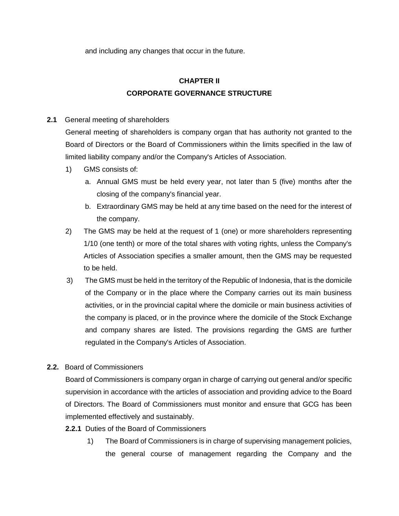and including any changes that occur in the future.

# **CHAPTER II CORPORATE GOVERNANCE STRUCTURE**

## **2.1** General meeting of shareholders

General meeting of shareholders is company organ that has authority not granted to the Board of Directors or the Board of Commissioners within the limits specified in the law of limited liability company and/or the Company's Articles of Association.

- 1) GMS consists of:
	- a. Annual GMS must be held every year, not later than 5 (five) months after the closing of the company's financial year.
	- b. Extraordinary GMS may be held at any time based on the need for the interest of the company.
- 2) The GMS may be held at the request of 1 (one) or more shareholders representing 1/10 (one tenth) or more of the total shares with voting rights, unless the Company's Articles of Association specifies a smaller amount, then the GMS may be requested to be held.
- 3) The GMS must be held in the territory of the Republic of Indonesia, that is the domicile of the Company or in the place where the Company carries out its main business activities, or in the provincial capital where the domicile or main business activities of the company is placed, or in the province where the domicile of the Stock Exchange and company shares are listed. The provisions regarding the GMS are further regulated in the Company's Articles of Association.

## **2.2.** Board of Commissioners

Board of Commissioners is company organ in charge of carrying out general and/or specific supervision in accordance with the articles of association and providing advice to the Board of Directors. The Board of Commissioners must monitor and ensure that GCG has been implemented effectively and sustainably.

## **2.2.1** Duties of the Board of Commissioners

1) The Board of Commissioners is in charge of supervising management policies, the general course of management regarding the Company and the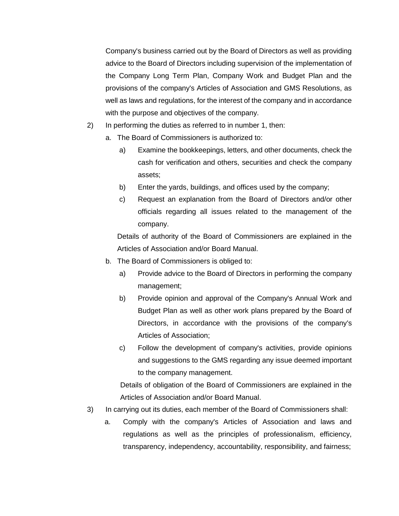Company's business carried out by the Board of Directors as well as providing advice to the Board of Directors including supervision of the implementation of the Company Long Term Plan, Company Work and Budget Plan and the provisions of the company's Articles of Association and GMS Resolutions, as well as laws and regulations, for the interest of the company and in accordance with the purpose and objectives of the company.

- 2) In performing the duties as referred to in number 1, then:
	- a. The Board of Commissioners is authorized to:
		- a) Examine the bookkeepings, letters, and other documents, check the cash for verification and others, securities and check the company assets;
		- b) Enter the yards, buildings, and offices used by the company;
		- c) Request an explanation from the Board of Directors and/or other officials regarding all issues related to the management of the company.

Details of authority of the Board of Commissioners are explained in the Articles of Association and/or Board Manual.

- b. The Board of Commissioners is obliged to:
	- a) Provide advice to the Board of Directors in performing the company management;
	- b) Provide opinion and approval of the Company's Annual Work and Budget Plan as well as other work plans prepared by the Board of Directors, in accordance with the provisions of the company's Articles of Association;
	- c) Follow the development of company's activities, provide opinions and suggestions to the GMS regarding any issue deemed important to the company management.

Details of obligation of the Board of Commissioners are explained in the Articles of Association and/or Board Manual.

- 3) In carrying out its duties, each member of the Board of Commissioners shall:
	- a. Comply with the company's Articles of Association and laws and regulations as well as the principles of professionalism, efficiency, transparency, independency, accountability, responsibility, and fairness;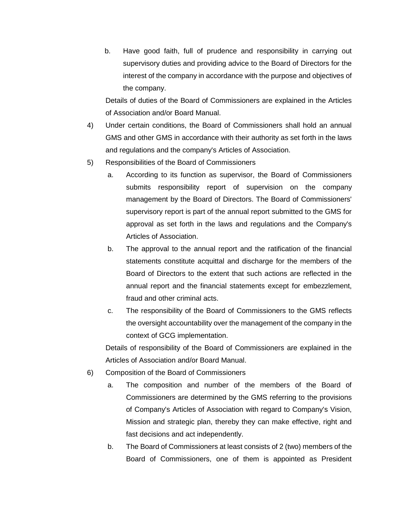b. Have good faith, full of prudence and responsibility in carrying out supervisory duties and providing advice to the Board of Directors for the interest of the company in accordance with the purpose and objectives of the company.

Details of duties of the Board of Commissioners are explained in the Articles of Association and/or Board Manual.

- 4) Under certain conditions, the Board of Commissioners shall hold an annual GMS and other GMS in accordance with their authority as set forth in the laws and regulations and the company's Articles of Association.
- 5) Responsibilities of the Board of Commissioners
	- a. According to its function as supervisor, the Board of Commissioners submits responsibility report of supervision on the company management by the Board of Directors. The Board of Commissioners' supervisory report is part of the annual report submitted to the GMS for approval as set forth in the laws and regulations and the Company's Articles of Association.
	- b. The approval to the annual report and the ratification of the financial statements constitute acquittal and discharge for the members of the Board of Directors to the extent that such actions are reflected in the annual report and the financial statements except for embezzlement, fraud and other criminal acts.
	- c. The responsibility of the Board of Commissioners to the GMS reflects the oversight accountability over the management of the company in the context of GCG implementation.

Details of responsibility of the Board of Commissioners are explained in the Articles of Association and/or Board Manual.

- 6) Composition of the Board of Commissioners
	- a. The composition and number of the members of the Board of Commissioners are determined by the GMS referring to the provisions of Company's Articles of Association with regard to Company's Vision, Mission and strategic plan, thereby they can make effective, right and fast decisions and act independently.
	- b. The Board of Commissioners at least consists of 2 (two) members of the Board of Commissioners, one of them is appointed as President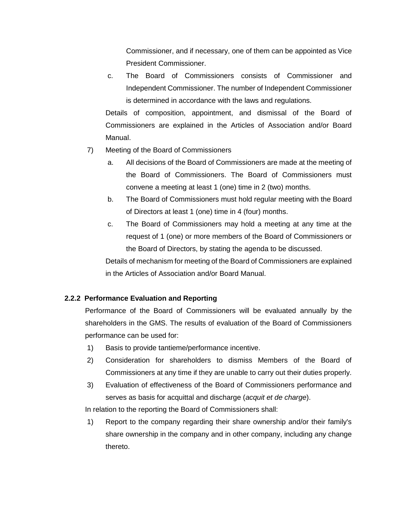Commissioner, and if necessary, one of them can be appointed as Vice President Commissioner.

c. The Board of Commissioners consists of Commissioner and Independent Commissioner. The number of Independent Commissioner is determined in accordance with the laws and regulations.

Details of composition, appointment, and dismissal of the Board of Commissioners are explained in the Articles of Association and/or Board Manual.

- 7) Meeting of the Board of Commissioners
	- a. All decisions of the Board of Commissioners are made at the meeting of the Board of Commissioners. The Board of Commissioners must convene a meeting at least 1 (one) time in 2 (two) months.
	- b. The Board of Commissioners must hold regular meeting with the Board of Directors at least 1 (one) time in 4 (four) months.
	- c. The Board of Commissioners may hold a meeting at any time at the request of 1 (one) or more members of the Board of Commissioners or the Board of Directors, by stating the agenda to be discussed.

Details of mechanism for meeting of the Board of Commissioners are explained in the Articles of Association and/or Board Manual.

## **2.2.2 Performance Evaluation and Reporting**

Performance of the Board of Commissioners will be evaluated annually by the shareholders in the GMS. The results of evaluation of the Board of Commissioners performance can be used for:

- 1) Basis to provide tantieme/performance incentive.
- 2) Consideration for shareholders to dismiss Members of the Board of Commissioners at any time if they are unable to carry out their duties properly.
- 3) Evaluation of effectiveness of the Board of Commissioners performance and serves as basis for acquittal and discharge (*acquit et de charge*).

In relation to the reporting the Board of Commissioners shall:

1) Report to the company regarding their share ownership and/or their family's share ownership in the company and in other company, including any change thereto.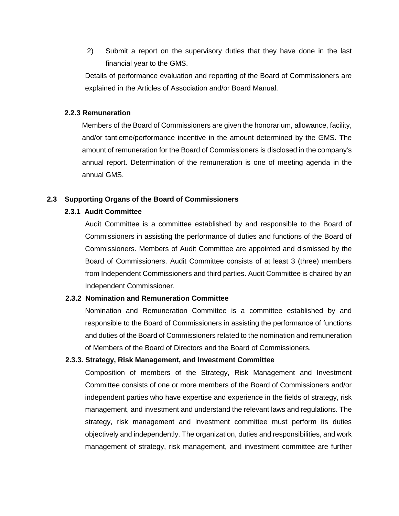2) Submit a report on the supervisory duties that they have done in the last financial year to the GMS.

Details of performance evaluation and reporting of the Board of Commissioners are explained in the Articles of Association and/or Board Manual.

### **2.2.3 Remuneration**

Members of the Board of Commissioners are given the honorarium, allowance, facility, and/or tantieme/performance incentive in the amount determined by the GMS. The amount of remuneration for the Board of Commissioners is disclosed in the company's annual report. Determination of the remuneration is one of meeting agenda in the annual GMS.

### **2.3 Supporting Organs of the Board of Commissioners**

### **2.3.1 Audit Committee**

Audit Committee is a committee established by and responsible to the Board of Commissioners in assisting the performance of duties and functions of the Board of Commissioners. Members of Audit Committee are appointed and dismissed by the Board of Commissioners. Audit Committee consists of at least 3 (three) members from Independent Commissioners and third parties. Audit Committee is chaired by an Independent Commissioner.

### **2.3.2 Nomination and Remuneration Committee**

Nomination and Remuneration Committee is a committee established by and responsible to the Board of Commissioners in assisting the performance of functions and duties of the Board of Commissioners related to the nomination and remuneration of Members of the Board of Directors and the Board of Commissioners.

### **2.3.3. Strategy, Risk Management, and Investment Committee**

Composition of members of the Strategy, Risk Management and Investment Committee consists of one or more members of the Board of Commissioners and/or independent parties who have expertise and experience in the fields of strategy, risk management, and investment and understand the relevant laws and regulations. The strategy, risk management and investment committee must perform its duties objectively and independently. The organization, duties and responsibilities, and work management of strategy, risk management, and investment committee are further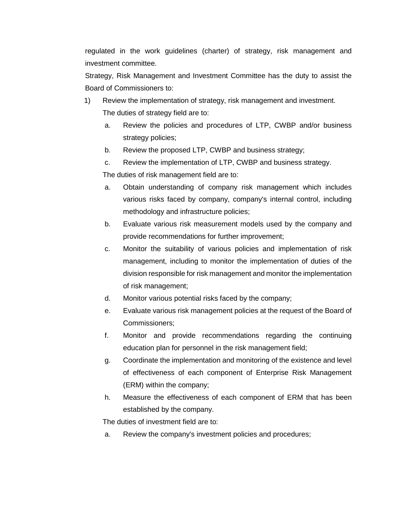regulated in the work guidelines (charter) of strategy, risk management and investment committee.

Strategy, Risk Management and Investment Committee has the duty to assist the Board of Commissioners to:

- 1) Review the implementation of strategy, risk management and investment. The duties of strategy field are to:
	- a. Review the policies and procedures of LTP, CWBP and/or business strategy policies;
	- b. Review the proposed LTP, CWBP and business strategy;
	- c. Review the implementation of LTP, CWBP and business strategy.

The duties of risk management field are to:

- a. Obtain understanding of company risk management which includes various risks faced by company, company's internal control, including methodology and infrastructure policies;
- b. Evaluate various risk measurement models used by the company and provide recommendations for further improvement;
- c. Monitor the suitability of various policies and implementation of risk management, including to monitor the implementation of duties of the division responsible for risk management and monitor the implementation of risk management;
- d. Monitor various potential risks faced by the company;
- e. Evaluate various risk management policies at the request of the Board of Commissioners;
- f. Monitor and provide recommendations regarding the continuing education plan for personnel in the risk management field;
- g. Coordinate the implementation and monitoring of the existence and level of effectiveness of each component of Enterprise Risk Management (ERM) within the company;
- h. Measure the effectiveness of each component of ERM that has been established by the company.

The duties of investment field are to:

a. Review the company's investment policies and procedures;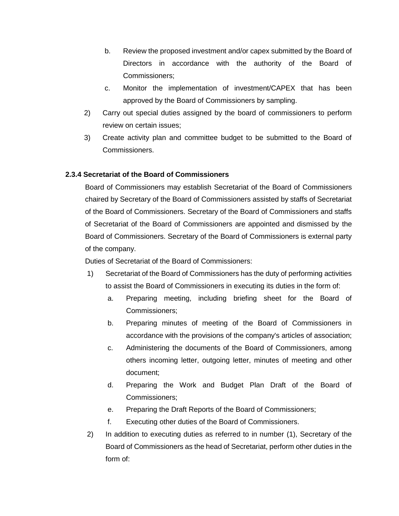- b. Review the proposed investment and/or capex submitted by the Board of Directors in accordance with the authority of the Board of Commissioners;
- c. Monitor the implementation of investment/CAPEX that has been approved by the Board of Commissioners by sampling.
- 2) Carry out special duties assigned by the board of commissioners to perform review on certain issues;
- 3) Create activity plan and committee budget to be submitted to the Board of Commissioners.

## **2.3.4 Secretariat of the Board of Commissioners**

Board of Commissioners may establish Secretariat of the Board of Commissioners chaired by Secretary of the Board of Commissioners assisted by staffs of Secretariat of the Board of Commissioners. Secretary of the Board of Commissioners and staffs of Secretariat of the Board of Commissioners are appointed and dismissed by the Board of Commissioners. Secretary of the Board of Commissioners is external party of the company.

Duties of Secretariat of the Board of Commissioners:

- 1) Secretariat of the Board of Commissioners has the duty of performing activities to assist the Board of Commissioners in executing its duties in the form of:
	- a. Preparing meeting, including briefing sheet for the Board of Commissioners;
	- b. Preparing minutes of meeting of the Board of Commissioners in accordance with the provisions of the company's articles of association;
	- c. Administering the documents of the Board of Commissioners, among others incoming letter, outgoing letter, minutes of meeting and other document;
	- d. Preparing the Work and Budget Plan Draft of the Board of Commissioners;
	- e. Preparing the Draft Reports of the Board of Commissioners;
	- f. Executing other duties of the Board of Commissioners.
- 2) In addition to executing duties as referred to in number (1), Secretary of the Board of Commissioners as the head of Secretariat, perform other duties in the form of: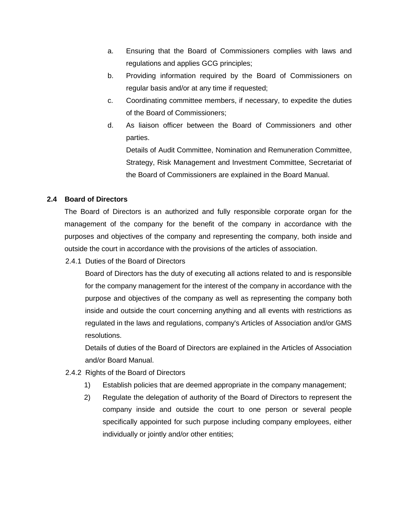- a. Ensuring that the Board of Commissioners complies with laws and regulations and applies GCG principles;
- b. Providing information required by the Board of Commissioners on regular basis and/or at any time if requested;
- c. Coordinating committee members, if necessary, to expedite the duties of the Board of Commissioners;
- d. As liaison officer between the Board of Commissioners and other parties.

Details of Audit Committee, Nomination and Remuneration Committee, Strategy, Risk Management and Investment Committee, Secretariat of the Board of Commissioners are explained in the Board Manual.

## **2.4 Board of Directors**

The Board of Directors is an authorized and fully responsible corporate organ for the management of the company for the benefit of the company in accordance with the purposes and objectives of the company and representing the company, both inside and outside the court in accordance with the provisions of the articles of association.

2.4.1 Duties of the Board of Directors

Board of Directors has the duty of executing all actions related to and is responsible for the company management for the interest of the company in accordance with the purpose and objectives of the company as well as representing the company both inside and outside the court concerning anything and all events with restrictions as regulated in the laws and regulations, company's Articles of Association and/or GMS resolutions.

Details of duties of the Board of Directors are explained in the Articles of Association and/or Board Manual.

## 2.4.2 Rights of the Board of Directors

- 1) Establish policies that are deemed appropriate in the company management;
- 2) Regulate the delegation of authority of the Board of Directors to represent the company inside and outside the court to one person or several people specifically appointed for such purpose including company employees, either individually or jointly and/or other entities;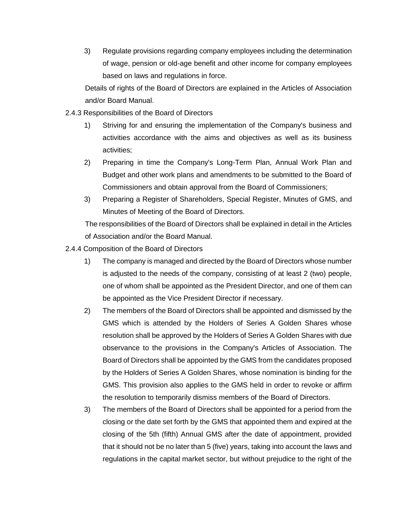3) Regulate provisions regarding company employees including the determination of wage, pension or old-age benefit and other income for company employees based on laws and regulations in force.

Details of rights of the Board of Directors are explained in the Articles of Association and/or Board Manual.

## 2.4.3 Responsibilities of the Board of Directors

- 1) Striving for and ensuring the implementation of the Company's business and activities accordance with the aims and objectives as well as its business activities;
- 2) Preparing in time the Company's Long-Term Plan, Annual Work Plan and Budget and other work plans and amendments to be submitted to the Board of Commissioners and obtain approval from the Board of Commissioners;
- 3) Preparing a Register of Shareholders, Special Register, Minutes of GMS, and Minutes of Meeting of the Board of Directors.

The responsibilities of the Board of Directors shall be explained in detail in the Articles of Association and/or the Board Manual.

2.4.4 Composition of the Board of Directors

- 1) The company is managed and directed by the Board of Directors whose number is adjusted to the needs of the company, consisting of at least 2 (two) people, one of whom shall be appointed as the President Director, and one of them can be appointed as the Vice President Director if necessary.
- 2) The members of the Board of Directors shall be appointed and dismissed by the GMS which is attended by the Holders of Series A Golden Shares whose resolution shall be approved by the Holders of Series A Golden Shares with due observance to the provisions in the Company's Articles of Association. The Board of Directors shall be appointed by the GMS from the candidates proposed by the Holders of Series A Golden Shares, whose nomination is binding for the GMS. This provision also applies to the GMS held in order to revoke or affirm the resolution to temporarily dismiss members of the Board of Directors.
- 3) The members of the Board of Directors shall be appointed for a period from the closing or the date set forth by the GMS that appointed them and expired at the closing of the 5th (fifth) Annual GMS after the date of appointment, provided that it should not be no later than 5 (five) years, taking into account the laws and regulations in the capital market sector, but without prejudice to the right of the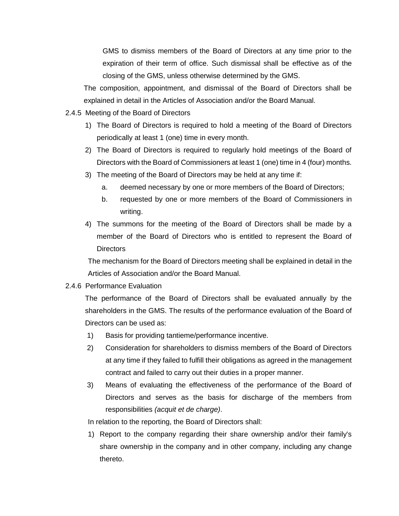GMS to dismiss members of the Board of Directors at any time prior to the expiration of their term of office. Such dismissal shall be effective as of the closing of the GMS, unless otherwise determined by the GMS.

The composition, appointment, and dismissal of the Board of Directors shall be explained in detail in the Articles of Association and/or the Board Manual.

## 2.4.5 Meeting of the Board of Directors

- 1) The Board of Directors is required to hold a meeting of the Board of Directors periodically at least 1 (one) time in every month.
- 2) The Board of Directors is required to regularly hold meetings of the Board of Directors with the Board of Commissioners at least 1 (one) time in 4 (four) months.
- 3) The meeting of the Board of Directors may be held at any time if:
	- a. deemed necessary by one or more members of the Board of Directors;
	- b. requested by one or more members of the Board of Commissioners in writing.
- 4) The summons for the meeting of the Board of Directors shall be made by a member of the Board of Directors who is entitled to represent the Board of Directors

The mechanism for the Board of Directors meeting shall be explained in detail in the Articles of Association and/or the Board Manual.

## 2.4.6 Performance Evaluation

The performance of the Board of Directors shall be evaluated annually by the shareholders in the GMS. The results of the performance evaluation of the Board of Directors can be used as:

- 1) Basis for providing tantieme/performance incentive.
- 2) Consideration for shareholders to dismiss members of the Board of Directors at any time if they failed to fulfill their obligations as agreed in the management contract and failed to carry out their duties in a proper manner.
- 3) Means of evaluating the effectiveness of the performance of the Board of Directors and serves as the basis for discharge of the members from responsibilities *(acquit et de charge)*.

In relation to the reporting, the Board of Directors shall:

1) Report to the company regarding their share ownership and/or their family's share ownership in the company and in other company, including any change thereto.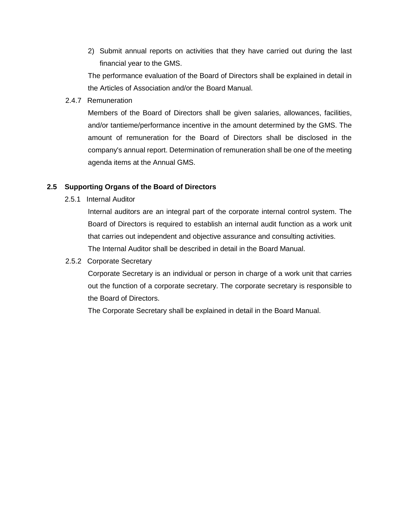2) Submit annual reports on activities that they have carried out during the last financial year to the GMS.

The performance evaluation of the Board of Directors shall be explained in detail in the Articles of Association and/or the Board Manual.

2.4.7 Remuneration

Members of the Board of Directors shall be given salaries, allowances, facilities, and/or tantieme/performance incentive in the amount determined by the GMS. The amount of remuneration for the Board of Directors shall be disclosed in the company's annual report. Determination of remuneration shall be one of the meeting agenda items at the Annual GMS.

### **2.5 Supporting Organs of the Board of Directors**

2.5.1 Internal Auditor

Internal auditors are an integral part of the corporate internal control system. The Board of Directors is required to establish an internal audit function as a work unit that carries out independent and objective assurance and consulting activities. The Internal Auditor shall be described in detail in the Board Manual.

2.5.2Corporate Secretary

Corporate Secretary is an individual or person in charge of a work unit that carries out the function of a corporate secretary. The corporate secretary is responsible to the Board of Directors.

The Corporate Secretary shall be explained in detail in the Board Manual.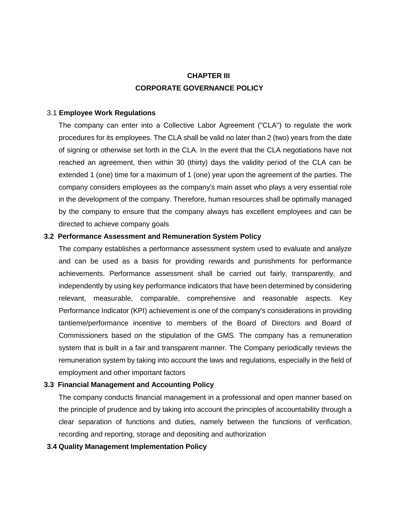# **CHAPTER III CORPORATE GOVERNANCE POLICY**

### 3.1 **Employee Work Regulations**

The company can enter into a Collective Labor Agreement ("CLA") to regulate the work procedures for its employees. The CLA shall be valid no later than 2 (two) years from the date of signing or otherwise set forth in the CLA. In the event that the CLA negotiations have not reached an agreement, then within 30 (thirty) days the validity period of the CLA can be extended 1 (one) time for a maximum of 1 (one) year upon the agreement of the parties. The company considers employees as the company's main asset who plays a very essential role in the development of the company. Therefore, human resources shall be optimally managed by the company to ensure that the company always has excellent employees and can be directed to achieve company goals

### **3.2 Performance Assessment and Remuneration System Policy**

The company establishes a performance assessment system used to evaluate and analyze and can be used as a basis for providing rewards and punishments for performance achievements. Performance assessment shall be carried out fairly, transparently, and independently by using key performance indicators that have been determined by considering relevant, measurable, comparable, comprehensive and reasonable aspects. Key Performance Indicator (KPI) achievement is one of the company's considerations in providing tantieme/performance incentive to members of the Board of Directors and Board of Commissioners based on the stipulation of the GMS. The company has a remuneration system that is built in a fair and transparent manner. The Company periodically reviews the remuneration system by taking into account the laws and regulations, especially in the field of employment and other important factors

## **3.3 Financial Management and Accounting Policy**

The company conducts financial management in a professional and open manner based on the principle of prudence and by taking into account the principles of accountability through a clear separation of functions and duties, namely between the functions of verification, recording and reporting, storage and depositing and authorization

## **3.4 Quality Management Implementation Policy**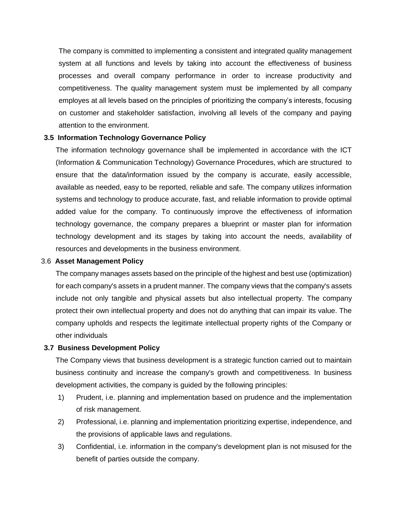The company is committed to implementing a consistent and integrated quality management system at all functions and levels by taking into account the effectiveness of business processes and overall company performance in order to increase productivity and competitiveness. The quality management system must be implemented by all company employes at all levels based on the principles of prioritizing the company's interests, focusing on customer and stakeholder satisfaction, involving all levels of the company and paying attention to the environment.

### **3.5 Information Technology Governance Policy**

The information technology governance shall be implemented in accordance with the ICT (Information & Communication Technology) Governance Procedures, which are structured to ensure that the data/information issued by the company is accurate, easily accessible, available as needed, easy to be reported, reliable and safe. The company utilizes information systems and technology to produce accurate, fast, and reliable information to provide optimal added value for the company. To continuously improve the effectiveness of information technology governance, the company prepares a blueprint or master plan for information technology development and its stages by taking into account the needs, availability of resources and developments in the business environment.

### 3.6 **Asset Management Policy**

The company manages assets based on the principle of the highest and best use (optimization) for each company's assets in a prudent manner. The company views that the company's assets include not only tangible and physical assets but also intellectual property. The company protect their own intellectual property and does not do anything that can impair its value. The company upholds and respects the legitimate intellectual property rights of the Company or other individuals

## **3.7 Business Development Policy**

The Company views that business development is a strategic function carried out to maintain business continuity and increase the company's growth and competitiveness. In business development activities, the company is guided by the following principles:

- 1) Prudent, i.e. planning and implementation based on prudence and the implementation of risk management.
- 2) Professional, i.e. planning and implementation prioritizing expertise, independence, and the provisions of applicable laws and regulations.
- 3) Confidential, i.e. information in the company's development plan is not misused for the benefit of parties outside the company.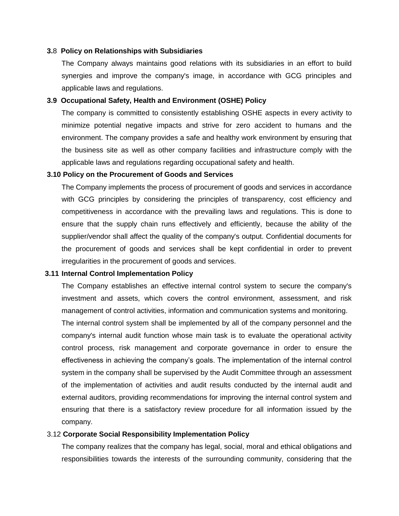#### **3.**8 **Policy on Relationships with Subsidiaries**

The Company always maintains good relations with its subsidiaries in an effort to build synergies and improve the company's image, in accordance with GCG principles and applicable laws and regulations.

### **3.9 Occupational Safety, Health and Environment (OSHE) Policy**

The company is committed to consistently establishing OSHE aspects in every activity to minimize potential negative impacts and strive for zero accident to humans and the environment. The company provides a safe and healthy work environment by ensuring that the business site as well as other company facilities and infrastructure comply with the applicable laws and regulations regarding occupational safety and health.

#### **3.10 Policy on the Procurement of Goods and Services**

The Company implements the process of procurement of goods and services in accordance with GCG principles by considering the principles of transparency, cost efficiency and competitiveness in accordance with the prevailing laws and regulations. This is done to ensure that the supply chain runs effectively and efficiently, because the ability of the supplier/vendor shall affect the quality of the company's output. Confidential documents for the procurement of goods and services shall be kept confidential in order to prevent irregularities in the procurement of goods and services.

#### **3.11 Internal Control Implementation Policy**

The Company establishes an effective internal control system to secure the company's investment and assets, which covers the control environment, assessment, and risk management of control activities, information and communication systems and monitoring. The internal control system shall be implemented by all of the company personnel and the company's internal audit function whose main task is to evaluate the operational activity control process, risk management and corporate governance in order to ensure the effectiveness in achieving the company's goals. The implementation of the internal control system in the company shall be supervised by the Audit Committee through an assessment of the implementation of activities and audit results conducted by the internal audit and external auditors, providing recommendations for improving the internal control system and ensuring that there is a satisfactory review procedure for all information issued by the company.

#### 3.12 **Corporate Social Responsibility Implementation Policy**

The company realizes that the company has legal, social, moral and ethical obligations and responsibilities towards the interests of the surrounding community, considering that the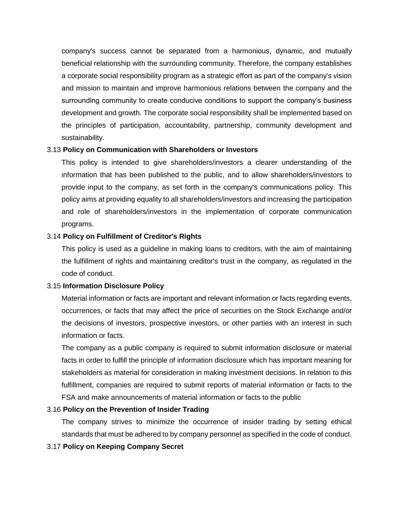company's success cannot be separated from a harmonious, dynamic, and mutually beneficial relationship with the surrounding community. Therefore, the company establishes a corporate social responsibility program as a strategic effort as part of the company's vision and mission to maintain and improve harmonious relations between the company and the surrounding community to create conducive conditions to support the company's business development and growth. The corporate social responsibility shall be implemented based on the principles of participation, accountability, partnership, community development and sustainability.

### 3.13 **Policy on Communication with Shareholders or Investors**

This policy is intended to give shareholders/investors a clearer understanding of the information that has been published to the public, and to allow shareholders/investors to provide input to the company, as set forth in the company's communications policy. This policy aims at providing equality to all shareholders/investors and increasing the participation and role of shareholders/investors in the implementation of corporate communication programs.

### 3.14 **Policy on Fulfillment of Creditor's Rights**

This policy is used as a guideline in making loans to creditors, with the aim of maintaining the fulfillment of rights and maintaining creditor's trust in the company, as regulated in the code of conduct.

#### 3.15 **Information Disclosure Policy**

Material information or facts are important and relevant information or facts regarding events, occurrences, or facts that may affect the price of securities on the Stock Exchange and/or the decisions of investors, prospective investors, or other parties with an interest in such information or facts.

The company as a public company is required to submit information disclosure or material facts in order to fulfill the principle of information disclosure which has important meaning for stakeholders as material for consideration in making investment decisions. In relation to this fulfillment, companies are required to submit reports of material information or facts to the FSA and make announcements of material information or facts to the public

#### 3.16 **Policy on the Prevention of Insider Trading**

The company strives to minimize the occurrence of insider trading by setting ethical standards that must be adhered to by company personnel as specified in the code of conduct.

### 3.17 **Policy on Keeping Company Secret**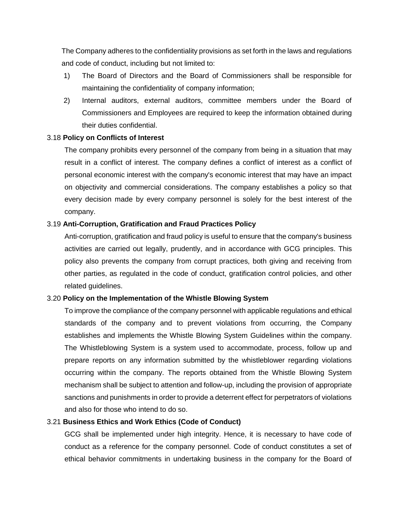The Company adheres to the confidentiality provisions as set forth in the laws and regulations and code of conduct, including but not limited to:

- 1) The Board of Directors and the Board of Commissioners shall be responsible for maintaining the confidentiality of company information;
- 2) Internal auditors, external auditors, committee members under the Board of Commissioners and Employees are required to keep the information obtained during their duties confidential.

### 3.18 **Policy on Conflicts of Interest**

The company prohibits every personnel of the company from being in a situation that may result in a conflict of interest. The company defines a conflict of interest as a conflict of personal economic interest with the company's economic interest that may have an impact on objectivity and commercial considerations. The company establishes a policy so that every decision made by every company personnel is solely for the best interest of the company.

### 3.19 **Anti-Corruption, Gratification and Fraud Practices Policy**

Anti-corruption, gratification and fraud policy is useful to ensure that the company's business activities are carried out legally, prudently, and in accordance with GCG principles. This policy also prevents the company from corrupt practices, both giving and receiving from other parties, as regulated in the code of conduct, gratification control policies, and other related guidelines.

## 3.20 **Policy on the Implementation of the Whistle Blowing System**

To improve the compliance of the company personnel with applicable regulations and ethical standards of the company and to prevent violations from occurring, the Company establishes and implements the Whistle Blowing System Guidelines within the company. The Whistleblowing System is a system used to accommodate, process, follow up and prepare reports on any information submitted by the whistleblower regarding violations occurring within the company. The reports obtained from the Whistle Blowing System mechanism shall be subject to attention and follow-up, including the provision of appropriate sanctions and punishments in order to provide a deterrent effect for perpetrators of violations and also for those who intend to do so.

## 3.21 **Business Ethics and Work Ethics (Code of Conduct)**

GCG shall be implemented under high integrity. Hence, it is necessary to have code of conduct as a reference for the company personnel. Code of conduct constitutes a set of ethical behavior commitments in undertaking business in the company for the Board of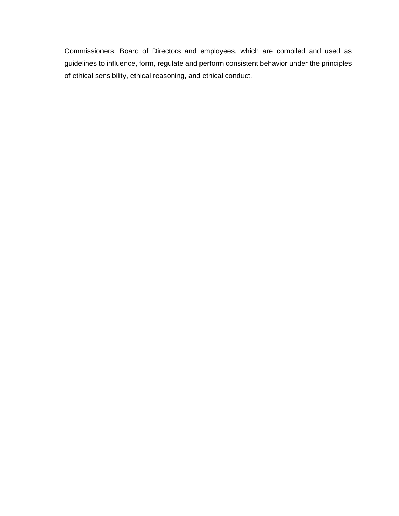Commissioners, Board of Directors and employees, which are compiled and used as guidelines to influence, form, regulate and perform consistent behavior under the principles of ethical sensibility, ethical reasoning, and ethical conduct.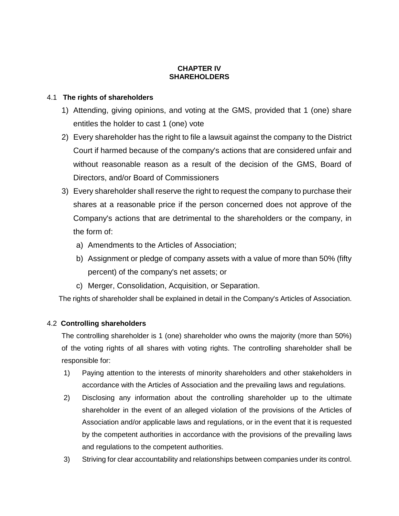## **CHAPTER IV SHAREHOLDERS**

## 4.1 **The rights of shareholders**

- 1) Attending, giving opinions, and voting at the GMS, provided that 1 (one) share entitles the holder to cast 1 (one) vote
- 2) Every shareholder has the right to file a lawsuit against the company to the District Court if harmed because of the company's actions that are considered unfair and without reasonable reason as a result of the decision of the GMS, Board of Directors, and/or Board of Commissioners
- 3) Every shareholder shall reserve the right to request the company to purchase their shares at a reasonable price if the person concerned does not approve of the Company's actions that are detrimental to the shareholders or the company, in the form of:
	- a) Amendments to the Articles of Association;
	- b) Assignment or pledge of company assets with a value of more than 50% (fifty percent) of the company's net assets; or
	- c) Merger, Consolidation, Acquisition, or Separation.

The rights of shareholder shall be explained in detail in the Company's Articles of Association.

## 4.2 **Controlling shareholders**

The controlling shareholder is 1 (one) shareholder who owns the majority (more than 50%) of the voting rights of all shares with voting rights. The controlling shareholder shall be responsible for:

- 1) Paying attention to the interests of minority shareholders and other stakeholders in accordance with the Articles of Association and the prevailing laws and regulations.
- 2) Disclosing any information about the controlling shareholder up to the ultimate shareholder in the event of an alleged violation of the provisions of the Articles of Association and/or applicable laws and regulations, or in the event that it is requested by the competent authorities in accordance with the provisions of the prevailing laws and regulations to the competent authorities.
- 3) Striving for clear accountability and relationships between companies under its control.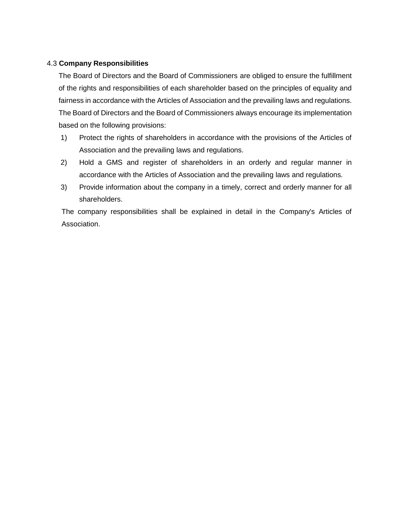## 4.3 **Company Responsibilities**

The Board of Directors and the Board of Commissioners are obliged to ensure the fulfillment of the rights and responsibilities of each shareholder based on the principles of equality and fairness in accordance with the Articles of Association and the prevailing laws and regulations. The Board of Directors and the Board of Commissioners always encourage its implementation based on the following provisions:

- 1) Protect the rights of shareholders in accordance with the provisions of the Articles of Association and the prevailing laws and regulations.
- 2) Hold a GMS and register of shareholders in an orderly and regular manner in accordance with the Articles of Association and the prevailing laws and regulations.
- 3) Provide information about the company in a timely, correct and orderly manner for all shareholders.

The company responsibilities shall be explained in detail in the Company's Articles of Association.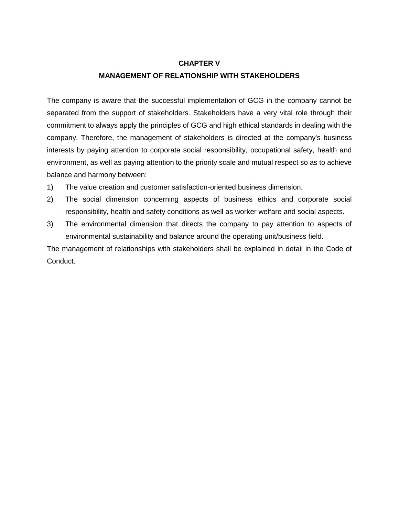### **CHAPTER V**

## **MANAGEMENT OF RELATIONSHIP WITH STAKEHOLDERS**

The company is aware that the successful implementation of GCG in the company cannot be separated from the support of stakeholders. Stakeholders have a very vital role through their commitment to always apply the principles of GCG and high ethical standards in dealing with the company. Therefore, the management of stakeholders is directed at the company's business interests by paying attention to corporate social responsibility, occupational safety, health and environment, as well as paying attention to the priority scale and mutual respect so as to achieve balance and harmony between:

- 1) The value creation and customer satisfaction-oriented business dimension.
- 2) The social dimension concerning aspects of business ethics and corporate social responsibility, health and safety conditions as well as worker welfare and social aspects.
- 3) The environmental dimension that directs the company to pay attention to aspects of environmental sustainability and balance around the operating unit/business field.

The management of relationships with stakeholders shall be explained in detail in the Code of Conduct.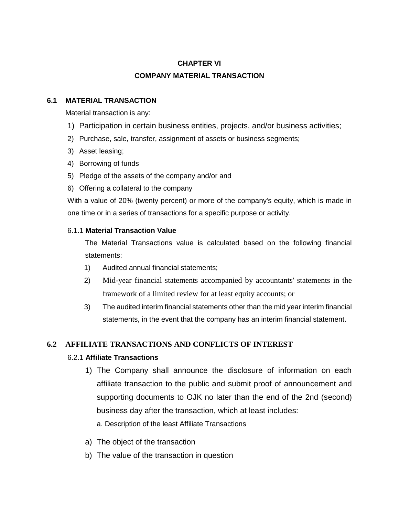## **CHAPTER VI**

## **COMPANY MATERIAL TRANSACTION**

## **6.1 MATERIAL TRANSACTION**

Material transaction is any:

- 1) Participation in certain business entities, projects, and/or business activities;
- 2) Purchase, sale, transfer, assignment of assets or business segments;
- 3) Asset leasing;
- 4) Borrowing of funds
- 5) Pledge of the assets of the company and/or and
- 6) Offering a collateral to the company

With a value of 20% (twenty percent) or more of the company's equity, which is made in one time or in a series of transactions for a specific purpose or activity.

## 6.1.1 **Material Transaction Value**

The Material Transactions value is calculated based on the following financial statements:

- 1) Audited annual financial statements;
- 2) Mid-year financial statements accompanied by accountants' statements in the framework of a limited review for at least equity accounts; or
- 3) The audited interim financial statements other than the mid year interim financial statements, in the event that the company has an interim financial statement.

## **6.2 AFFILIATE TRANSACTIONS AND CONFLICTS OF INTEREST**

## 6.2.1 **Affiliate Transactions**

- 1) The Company shall announce the disclosure of information on each affiliate transaction to the public and submit proof of announcement and supporting documents to OJK no later than the end of the 2nd (second) business day after the transaction, which at least includes:
	- a. Description of the least Affiliate Transactions
- a) The object of the transaction
- b) The value of the transaction in question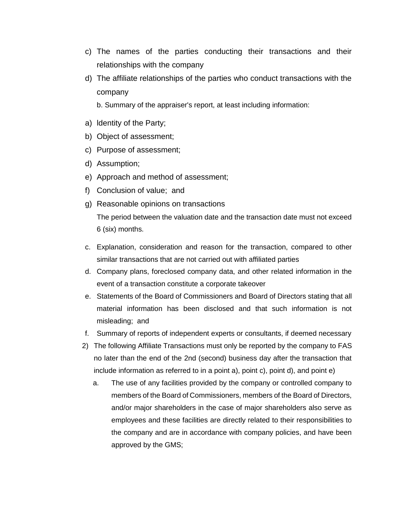- c) The names of the parties conducting their transactions and their relationships with the company
- d) The affiliate relationships of the parties who conduct transactions with the company

b. Summary of the appraiser's report, at least including information:

- a) ldentity of the Party;
- b) Object of assessment;
- c) Purpose of assessment;
- d) Assumption;
- e) Approach and method of assessment;
- f) Conclusion of value; and
- g) Reasonable opinions on transactions

The period between the valuation date and the transaction date must not exceed 6 (six) months.

- c. Explanation, consideration and reason for the transaction, compared to other similar transactions that are not carried out with affiliated parties
- d. Company plans, foreclosed company data, and other related information in the event of a transaction constitute a corporate takeover
- e. Statements of the Board of Commissioners and Board of Directors stating that all material information has been disclosed and that such information is not misleading; and
- f. Summary of reports of independent experts or consultants, if deemed necessary
- 2) The following Affiliate Transactions must only be reported by the company to FAS no later than the end of the 2nd (second) business day after the transaction that include information as referred to in a point a), point c), point d), and point e)
	- a. The use of any facilities provided by the company or controlled company to members of the Board of Commissioners, members of the Board of Directors, and/or major shareholders in the case of major shareholders also serve as employees and these facilities are directly related to their responsibilities to the company and are in accordance with company policies, and have been approved by the GMS;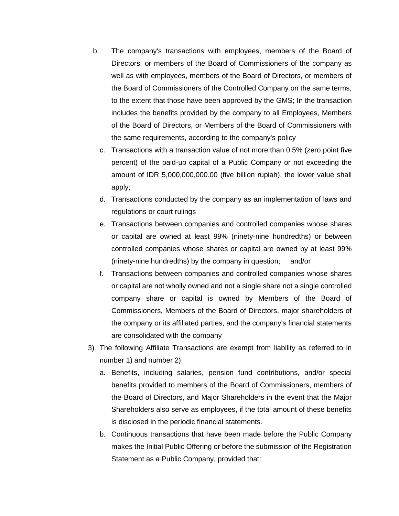- b. The company's transactions with employees, members of the Board of Directors, or members of the Board of Commissioners of the company as well as with employees, members of the Board of Directors, or members of the Board of Commissioners of the Controlled Company on the same terms, to the extent that those have been approved by the GMS; In the transaction includes the benefits provided by the company to all Employees, Members of the Board of Directors, or Members of the Board of Commissioners with the same requirements, according to the company's policy
	- c. Transactions with a transaction value of not more than 0.5% (zero point five percent) of the paid-up capital of a Public Company or not exceeding the amount of IDR 5,000,000,000.00 (five billion rupiah), the lower value shall apply;
	- d. Transactions conducted by the company as an implementation of laws and regulations or court rulings
	- e. Transactions between companies and controlled companies whose shares or capital are owned at least 99% (ninety-nine hundredths) or between controlled companies whose shares or capital are owned by at least 99% (ninety-nine hundredths) by the company in question; and/or
	- f. Transactions between companies and controlled companies whose shares or capital are not wholly owned and not a single share not a single controlled company share or capital is owned by Members of the Board of Commissioners, Members of the Board of Directors, major shareholders of the company or its affiliated parties, and the company's financial statements are consolidated with the company
- 3) The following Affiliate Transactions are exempt from liability as referred to in number 1) and number 2)
	- a. Benefits, including salaries, pension fund contributions, and/or special benefits provided to members of the Board of Commissioners, members of the Board of Directors, and Major Shareholders in the event that the Major Shareholders also serve as employees, if the total amount of these benefits is disclosed in the periodic financial statements.
	- b. Continuous transactions that have been made before the Public Company makes the Initial Public Offering or before the submission of the Registration Statement as a Public Company, provided that: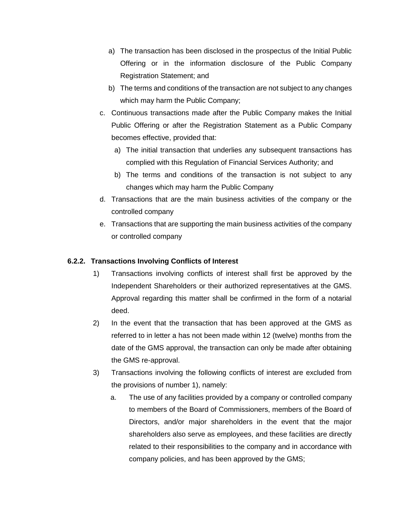- a) The transaction has been disclosed in the prospectus of the Initial Public Offering or in the information disclosure of the Public Company Registration Statement; and
- b) The terms and conditions of the transaction are not subject to any changes which may harm the Public Company;
- c. Continuous transactions made after the Public Company makes the Initial Public Offering or after the Registration Statement as a Public Company becomes effective, provided that:
	- a) The initial transaction that underlies any subsequent transactions has complied with this Regulation of Financial Services Authority; and
	- b) The terms and conditions of the transaction is not subject to any changes which may harm the Public Company
- d. Transactions that are the main business activities of the company or the controlled company
- e. Transactions that are supporting the main business activities of the company or controlled company

## **6.2.2. Transactions Involving Conflicts of Interest**

- 1) Transactions involving conflicts of interest shall first be approved by the Independent Shareholders or their authorized representatives at the GMS. Approval regarding this matter shall be confirmed in the form of a notarial deed.
- 2) In the event that the transaction that has been approved at the GMS as referred to in letter a has not been made within 12 (twelve) months from the date of the GMS approval, the transaction can only be made after obtaining the GMS re-approval.
- 3) Transactions involving the following conflicts of interest are excluded from the provisions of number 1), namely:
	- a. The use of any facilities provided by a company or controlled company to members of the Board of Commissioners, members of the Board of Directors, and/or major shareholders in the event that the major shareholders also serve as employees, and these facilities are directly related to their responsibilities to the company and in accordance with company policies, and has been approved by the GMS;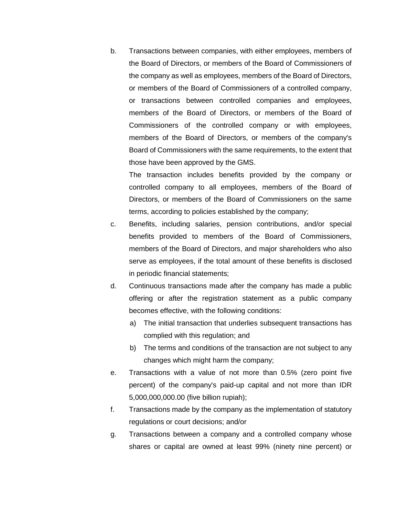b. Transactions between companies, with either employees, members of the Board of Directors, or members of the Board of Commissioners of the company as well as employees, members of the Board of Directors, or members of the Board of Commissioners of a controlled company, or transactions between controlled companies and employees, members of the Board of Directors, or members of the Board of Commissioners of the controlled company or with employees, members of the Board of Directors, or members of the company's Board of Commissioners with the same requirements, to the extent that those have been approved by the GMS.

The transaction includes benefits provided by the company or controlled company to all employees, members of the Board of Directors, or members of the Board of Commissioners on the same terms, according to policies established by the company;

- c. Benefits, including salaries, pension contributions, and/or special benefits provided to members of the Board of Commissioners, members of the Board of Directors, and major shareholders who also serve as employees, if the total amount of these benefits is disclosed in periodic financial statements;
- d. Continuous transactions made after the company has made a public offering or after the registration statement as a public company becomes effective, with the following conditions:
	- a) The initial transaction that underlies subsequent transactions has complied with this regulation; and
	- b) The terms and conditions of the transaction are not subject to any changes which might harm the company;
- e. Transactions with a value of not more than 0.5% (zero point five percent) of the company's paid-up capital and not more than IDR 5,000,000,000.00 (five billion rupiah);
- f. Transactions made by the company as the implementation of statutory regulations or court decisions; and/or
- g. Transactions between a company and a controlled company whose shares or capital are owned at least 99% (ninety nine percent) or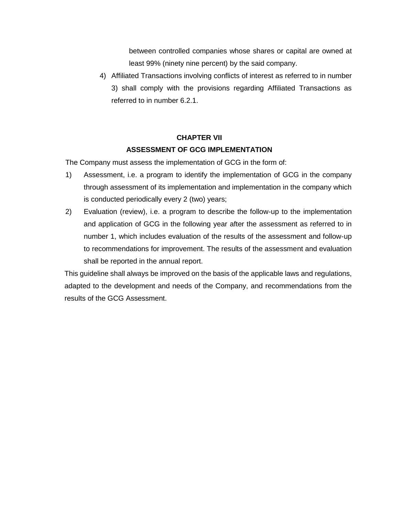between controlled companies whose shares or capital are owned at least 99% (ninety nine percent) by the said company.

4) Affiliated Transactions involving conflicts of interest as referred to in number 3) shall comply with the provisions regarding Affiliated Transactions as referred to in number 6.2.1.

# **CHAPTER VII**

## **ASSESSMENT OF GCG IMPLEMENTATION**

The Company must assess the implementation of GCG in the form of:

- 1) Assessment, i.e. a program to identify the implementation of GCG in the company through assessment of its implementation and implementation in the company which is conducted periodically every 2 (two) years;
- 2) Evaluation (review), i.e. a program to describe the follow-up to the implementation and application of GCG in the following year after the assessment as referred to in number 1, which includes evaluation of the results of the assessment and follow-up to recommendations for improvement. The results of the assessment and evaluation shall be reported in the annual report.

This guideline shall always be improved on the basis of the applicable laws and regulations, adapted to the development and needs of the Company, and recommendations from the results of the GCG Assessment.